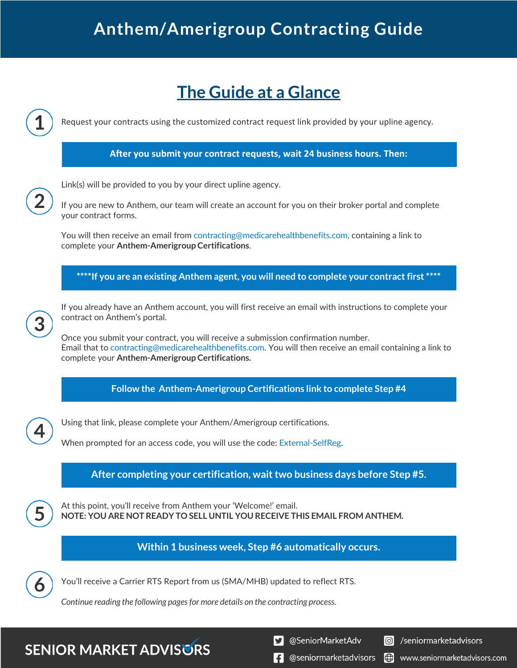# **The Guide at a Glance**

Request your contracts using the customized contract request link provided by your upline agency.

### **After you submit your contract requests, wait 24 business hours. Then:**

Link(s) will be provided to you by your direct upline agency.

If you are new to Anthem, our team will create an account for you on their broker portal and complete your contract forms.

You will then receive an email from contracting@medicarehealthbenefits.com, containing a link to complete your **Anthem-Amerigroup Certifications**.

**\*\*\*\*If you are an existing Anthem agent, you will need to complete your contract first \*\*\*\***

If you already have an Anthem account, you will first receive an email with instructions to complete your contract on Anthem's portal.

Once you submit your contract, you will receive a submission confirmation number. Email that to contracting@medicarehealthbenefits.com. You will then receive an email containing a link to complete your **Anthem-Amerigroup Certifications.**

**Follow the Anthem-Amerigroup Certifications link to complete Step #4**

Using that link, please complete your Anthem/Amerigroup certifications.

When prompted for an access code, you will use the code: External-SelfReg.

**After completing your certification, wait two business days before Step #5.**

At this point, you'll receive from Anthem your 'Welcome!' email. **NOTE: YOU ARE NOT READY TO SELL UNTIL YOU RECEIVE THIS EMAIL FROM ANTHEM.**

### **Within 1 business week, Step #6 automatically occurs.**



You'll receive a Carrier RTS Report from us (SMA/MHB) updated to reflect RTS.

*Continue reading the following pages for more details on the contracting process.*

## **SENIOR MARKET ADVISURS**

@SeniorMarketAdv УI

**O** /seniormarketadvisors

**E** @seniormarketadvisors Ied www.seniormarketadvisors.com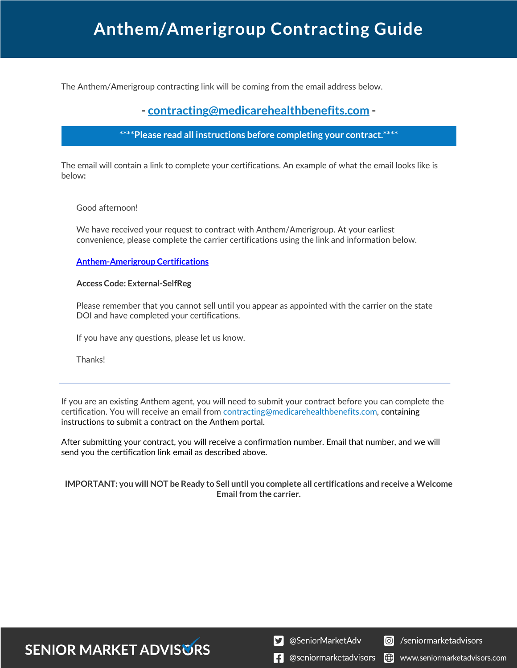The Anthem/Amerigroup contracting link will be coming from the email address below.

### **- contracting@medicarehealthbenefits.com -**

#### **\*\*\*\*Please read all instructions before completing your contract.\*\*\*\***

The email will contain a link to complete your certifications. An example of what the email looks like is below**:**

#### Good afternoon!

We have received your request to contract with Anthem/Amerigroup. At your earliest convenience, please complete the carrier certifications using the link and information below.

#### **Anthem-Amerigroup Certifications**

#### **Access Code: External-SelfReg**

Please remember that you cannot sell until you appear as appointed with the carrier on the state DOI and have completed your certifications.

If you have any questions, please let us know.

Thanks!

If you are an existing Anthem agent, you will need to submit your contract before you can complete the certification. You will receive an email from contracting@medicarehealthbenefits.com, containing instructions to submit a contract on the Anthem portal.

After submitting your contract, you will receive a confirmation number. Email that number, and we will send you the certification link email as described above.

#### **IMPORTANT: you will NOT be Ready to Sell until you complete all certifications and receive a Welcome Email from the carrier.**

**SENIOR MARKET ADVISURS** 

S @SeniorMarketAdv

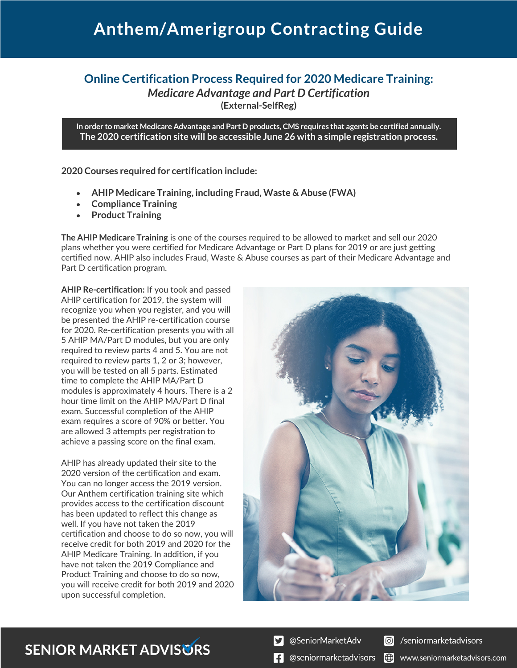### **Online Certification Process Required for 2020 Medicare Training:** *Medicare Advantage and Part D Certification* **(External-SelfReg)**

**In order to market Medicare Advantage and Part D products, CMS requires that agents be certified annually. The 2020 certification site will be accessible June 26 with a simple registration process.**

**2020 Courses required for certification include:**

- **AHIP Medicare Training, including Fraud, Waste & Abuse (FWA)**
- **Compliance Training**
- **Product Training**

**The AHIP Medicare Training** is one of the courses required to be allowed to market and sell our 2020 plans whether you were certified for Medicare Advantage or Part D plans for 2019 or are just getting certified now. AHIP also includes Fraud, Waste & Abuse courses as part of their Medicare Advantage and Part D certification program.

**AHIP Re-certification:** If you took and passed AHIP certification for 2019, the system will recognize you when you register, and you will be presented the AHIP re-certification course for 2020. Re-certification presents you with all 5 AHIP MA/Part D modules, but you are only required to review parts 4 and 5. You are not required to review parts 1, 2 or 3; however, you will be tested on all 5 parts. Estimated time to complete the AHIP MA/Part D modules is approximately 4 hours. There is a 2 hour time limit on the AHIP MA/Part D final exam. Successful completion of the AHIP exam requires a score of 90% or better. You are allowed 3 attempts per registration to achieve a passing score on the final exam.

AHIP has already updated their site to the 2020 version of the certification and exam. You can no longer access the 2019 version. Our Anthem certification training site which provides access to the certification discount has been updated to reflect this change as well. If you have not taken the 2019 certification and choose to do so now, you will receive credit for both 2019 and 2020 for the AHIP Medicare Training. In addition, if you have not taken the 2019 Compliance and Product Training and choose to do so now, you will receive credit for both 2019 and 2020 upon successful completion.



### **SENIOR MARKET ADVISURS**

@SeniorMarketAdv



 $\left| \cdot \right|$  @seniormarketadvisors  $\left| \right|$  www.seniormarketadvisors.com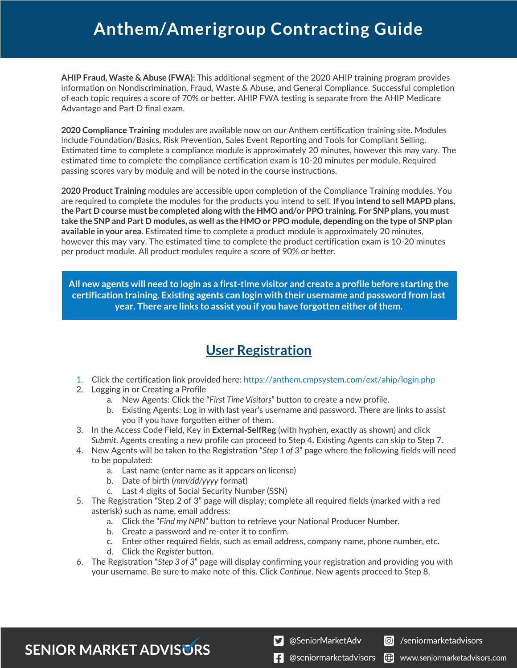**AHIP Fraud, Waste & Abuse (FWA):** This additional segment of the 2020 AHIP training program provides information on Nondiscrimination, Fraud, Waste & Abuse, and General Compliance. Successful completion of each topic requires a score of 70% or better. AHIP FWA testing is separate from the AHIP Medicare Advantage and Part D final exam.

**2020 Compliance Training** modules are available now on our Anthem certification training site. Modules include Foundation/Basics, Risk Prevention, Sales Event Reporting and Tools for Compliant Selling. Estimated time to complete a compliance module is approximately 20 minutes, however this may vary. The estimated time to complete the compliance certification exam is 10-20 minutes per module. Required passing scores vary by module and will be noted in the course instructions.

**2020 Product Training** modules are accessible upon completion of the Compliance Training modules. You are required to complete the modules for the products you intend to sell. **If you intend to sell MAPD plans, the Part D course must be completed along with the HMO and/or PPO training. For SNP plans, you must take the SNP and Part D modules, as well as the HMO or PPO module, depending on the type of SNP plan available in your area.** Estimated time to complete a product module is approximately 20 minutes, however this may vary. The estimated time to complete the product certification exam is 10-20 minutes per product module. All product modules require a score of 90% or better.

**All new agents will need to login as a first-time visitor and create a profile before starting the certification training. Existing agents can login with their username and password from last year. There are links to assist you if you have forgotten either of them.**

### **User Registration**

- 1. Click the certification link provided here: https://anthem.cmpsystem.com/ext/ahip/login.php
- 2. Logging in or Creating a Profile
	- a. New Agents: Click the "*First Time Visitors*" button to create a new profile.
	- b. Existing Agents: Log in with last year's username and password. There are links to assist you if you have forgotten either of them.
- 3. In the Access Code Field, Key in **External-SelfReg** (with hyphen, exactly as shown) and click *Submit*. Agents creating a new profile can proceed to Step 4. Existing Agents can skip to Step 7.
- 4. New Agents will be taken to the Registration "*Step 1 of 3*" page where the following fields will need to be populated:
	- a. Last name (enter name as it appears on license)
	- b. Date of birth (*mm/dd/yyyy* format)
	- c. Last 4 digits of Social Security Number (SSN)
- 5. The Registration "Step 2 of 3" page will display; complete all required fields (marked with a red asterisk) such as name, email address:
	- a. Click the "*Find my NPN*" button to retrieve your National Producer Number.
	- b. Create a password and re-enter it to confirm.
	- c. Enter other required fields, such as email address, company name, phone number, etc.
	- d. Click the *Register* button.
- 6. The Registration "*Step 3 of 3*" page will display confirming your registration and providing you with your username. Be sure to make note of this. Click *Continue*. New agents proceed to Step 8.

**SENIOR MARKET ADVISURS** 

S @SeniorMarketAdv



 $\left| \cdot \right|$  @seniormarketadvisors  $\left| \oplus \right|$  www.seniormarketadvisors.com